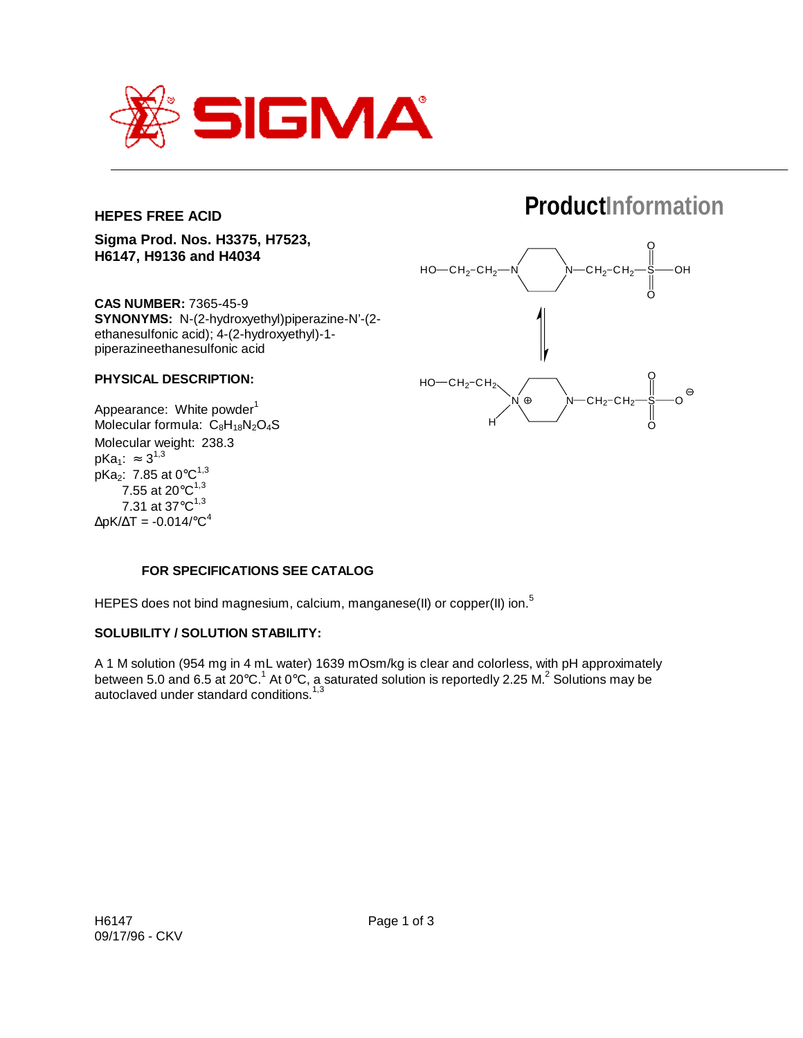

## **HEPES FREE ACID**

# **ProductInformation**

**Sigma Prod. Nos. H3375, H7523, H6147, H9136 and H4034**

**CAS NUMBER:** 7365-45-9 **SYNONYMS:** N-(2-hydroxyethyl)piperazine-N'-(2 ethanesulfonic acid); 4-(2-hydroxyethyl)-1 piperazineethanesulfonic acid

## **PHYSICAL DESCRIPTION:**

Appearance: White powder<sup>1</sup> Molecular formula:  $C_8H_{18}N_2O_4S$ Molecular weight: 238.3  $pKa_1: ≈ 3^{1,3}$ pKa<sub>2</sub>: 7.85 at  $0^{\circ}C^{1,3}$ 7.55 at 20 $^{\circ}$ C<sup>1,3</sup> 7.31 at  $37^{\circ}C^{1,3}$  $\Delta$ pK/ $\Delta$ T = -0.014/°C<sup>4</sup>



## **FOR SPECIFICATIONS SEE CATALOG**

HEPES does not bind magnesium, calcium, manganese(II) or copper(II) ion.<sup>5</sup>

#### **SOLUBILITY / SOLUTION STABILITY:**

A 1 M solution (954 mg in 4 mL water) 1639 mOsm/kg is clear and colorless, with pH approximately between 5.0 and 6.5 at 20°C.<sup>1</sup> At 0°C, a saturated solution is reportedly 2.25 M.<sup>2</sup> Solutions may be autoclaved under standard conditions.<sup>1,3</sup>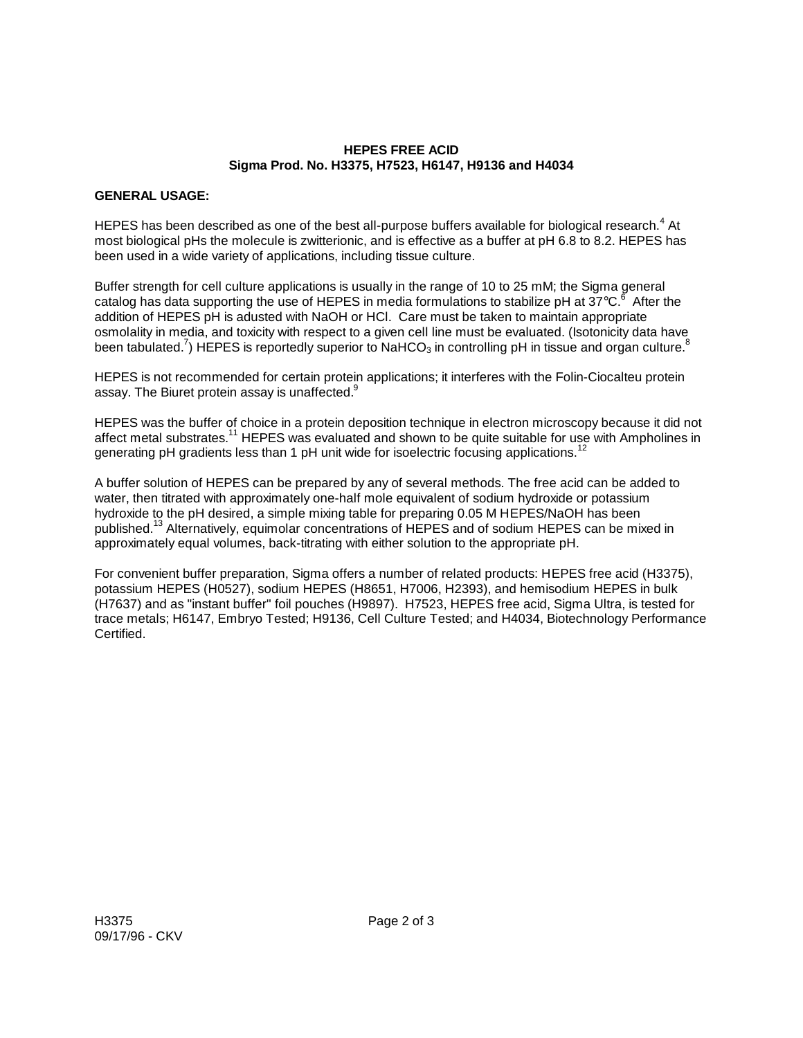### **HEPES FREE ACID Sigma Prod. No. H3375, H7523, H6147, H9136 and H4034**

## **GENERAL USAGE:**

HEPES has been described as one of the best all-purpose buffers available for biological research.<sup>4</sup> At most biological pHs the molecule is zwitterionic, and is effective as a buffer at pH 6.8 to 8.2. HEPES has been used in a wide variety of applications, including tissue culture.

Buffer strength for cell culture applications is usually in the range of 10 to 25 mM; the Sigma general catalog has data supporting the use of HEPES in media formulations to stabilize pH at 37°C. $^6$  After the addition of HEPES pH is adusted with NaOH or HCl. Care must be taken to maintain appropriate osmolality in media, and toxicity with respect to a given cell line must be evaluated. (Isotonicity data have been tabulated.<sup>7</sup>) HEPES is reportedly superior to NaHCO<sub>3</sub> in controlling pH in tissue and organ culture.<sup>8</sup>

HEPES is not recommended for certain protein applications; it interferes with the Folin-Ciocalteu protein assay. The Biuret protein assay is unaffected.<sup>9</sup>

HEPES was the buffer of choice in a protein deposition technique in electron microscopy because it did not affect metal substrates.<sup>11</sup> HEPES was evaluated and shown to be quite suitable for use with Ampholines in generating pH gradients less than 1 pH unit wide for isoelectric focusing applications.<sup>12</sup>

A buffer solution of HEPES can be prepared by any of several methods. The free acid can be added to water, then titrated with approximately one-half mole equivalent of sodium hydroxide or potassium hydroxide to the pH desired, a simple mixing table for preparing 0.05 M HEPES/NaOH has been published.13 Alternatively, equimolar concentrations of HEPES and of sodium HEPES can be mixed in approximately equal volumes, back-titrating with either solution to the appropriate pH.

For convenient buffer preparation, Sigma offers a number of related products: HEPES free acid (H3375), potassium HEPES (H0527), sodium HEPES (H8651, H7006, H2393), and hemisodium HEPES in bulk (H7637) and as "instant buffer" foil pouches (H9897). H7523, HEPES free acid, Sigma Ultra, is tested for trace metals; H6147, Embryo Tested; H9136, Cell Culture Tested; and H4034, Biotechnology Performance Certified.